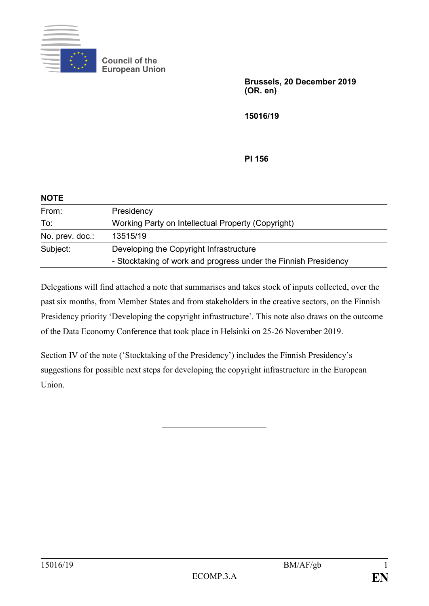

**Council of the European Union**

> **Brussels, 20 December 2019 (OR. en)**

**15016/19**

**PI 156**

| <b>NOTE</b>     |                                                                 |
|-----------------|-----------------------------------------------------------------|
| From:           | Presidency                                                      |
| To:             | Working Party on Intellectual Property (Copyright)              |
| No. prev. doc.: | 13515/19                                                        |
| Subject:        | Developing the Copyright Infrastructure                         |
|                 | - Stocktaking of work and progress under the Finnish Presidency |

Delegations will find attached a note that summarises and takes stock of inputs collected, over the past six months, from Member States and from stakeholders in the creative sectors, on the Finnish Presidency priority ʻDeveloping the copyright infrastructure'. This note also draws on the outcome of the Data Economy Conference that took place in Helsinki on 25-26 November 2019.

Section IV of the note (ʻStocktaking of the Presidency') includes the Finnish Presidency's suggestions for possible next steps for developing the copyright infrastructure in the European Union.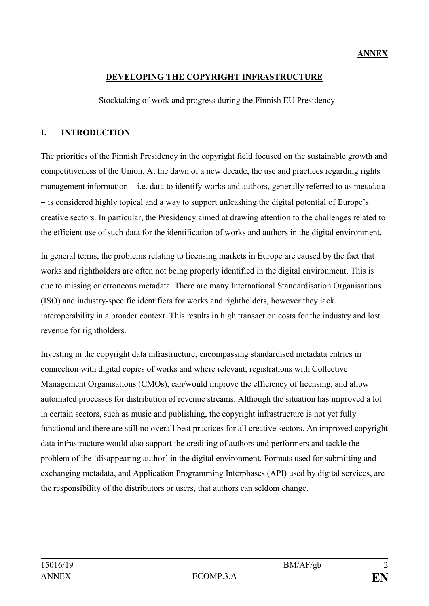### **ANNEX**

#### **DEVELOPING THE COPYRIGHT INFRASTRUCTURE**

- Stocktaking of work and progress during the Finnish EU Presidency

### **I. INTRODUCTION**

The priorities of the Finnish Presidency in the copyright field focused on the sustainable growth and competitiveness of the Union. At the dawn of a new decade, the use and practices regarding rights management information  $-$  i.e. data to identify works and authors, generally referred to as metadata ‒ is considered highly topical and a way to support unleashing the digital potential of Europe's creative sectors. In particular, the Presidency aimed at drawing attention to the challenges related to the efficient use of such data for the identification of works and authors in the digital environment.

In general terms, the problems relating to licensing markets in Europe are caused by the fact that works and rightholders are often not being properly identified in the digital environment. This is due to missing or erroneous metadata. There are many International Standardisation Organisations (ISO) and industry-specific identifiers for works and rightholders, however they lack interoperability in a broader context. This results in high transaction costs for the industry and lost revenue for rightholders.

Investing in the copyright data infrastructure, encompassing standardised metadata entries in connection with digital copies of works and where relevant, registrations with Collective Management Organisations (CMOs), can/would improve the efficiency of licensing, and allow automated processes for distribution of revenue streams. Although the situation has improved a lot in certain sectors, such as music and publishing, the copyright infrastructure is not yet fully functional and there are still no overall best practices for all creative sectors. An improved copyright data infrastructure would also support the crediting of authors and performers and tackle the problem of the ʻdisappearing author' in the digital environment. Formats used for submitting and exchanging metadata, and Application Programming Interphases (API) used by digital services, are the responsibility of the distributors or users, that authors can seldom change.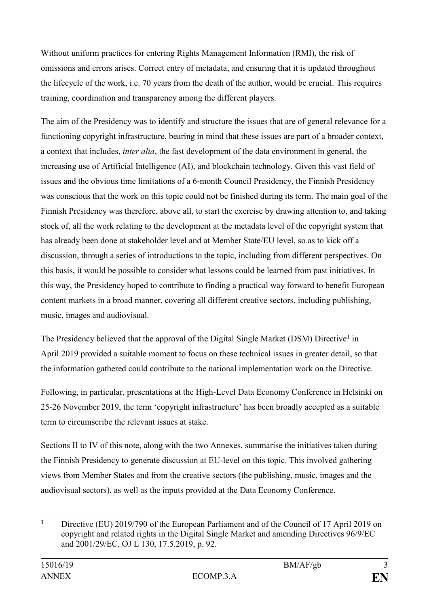Without uniform practices for entering Rights Management Information (RMI), the risk of omissions and errors arises. Correct entry of metadata, and ensuring that it is updated throughout the lifecycle of the work, i.e. 70 years from the death of the author, would be crucial. This requires training, coordination and transparency among the different players.

The aim of the Presidency was to identify and structure the issues that are of general relevance for a functioning copyright infrastructure, bearing in mind that these issues are part of a broader context, a context that includes, *inter alia*, the fast development of the data environment in general, the increasing use of Artificial Intelligence (AI), and blockchain technology. Given this vast field of issues and the obvious time limitations of a 6-month Council Presidency, the Finnish Presidency was conscious that the work on this topic could not be finished during its term. The main goal of the Finnish Presidency was therefore, above all, to start the exercise by drawing attention to, and taking stock of, all the work relating to the development at the metadata level of the copyright system that has already been done at stakeholder level and at Member State/EU level, so as to kick off a discussion, through a series of introductions to the topic, including from different perspectives. On this basis, it would be possible to consider what lessons could be learned from past initiatives. In this way, the Presidency hoped to contribute to finding a practical way forward to benefit European content markets in a broad manner, covering all different creative sectors, including publishing, music, images and audiovisual.

The Presidency believed that the approval of the Digital Single Market (DSM) Directive**<sup>1</sup>** in April 2019 provided a suitable moment to focus on these technical issues in greater detail, so that the information gathered could contribute to the national implementation work on the Directive.

Following, in particular, presentations at the High-Level Data Economy Conference in Helsinki on 25-26 November 2019, the term ʻcopyright infrastructure' has been broadly accepted as a suitable term to circumscribe the relevant issues at stake.

Sections II to IV of this note, along with the two Annexes, summarise the initiatives taken during the Finnish Presidency to generate discussion at EU-level on this topic. This involved gathering views from Member States and from the creative sectors (the publishing, music, images and the audiovisual sectors), as well as the inputs provided at the Data Economy Conference.

<sup>&</sup>lt;u>.</u> **<sup>1</sup>** Directive (EU) 2019/790 of the European Parliament and of the Council of 17 April 2019 on copyright and related rights in the Digital Single Market and amending Directives 96/9/EC and 2001/29/EC, OJ L 130, 17.5.2019, p. 92.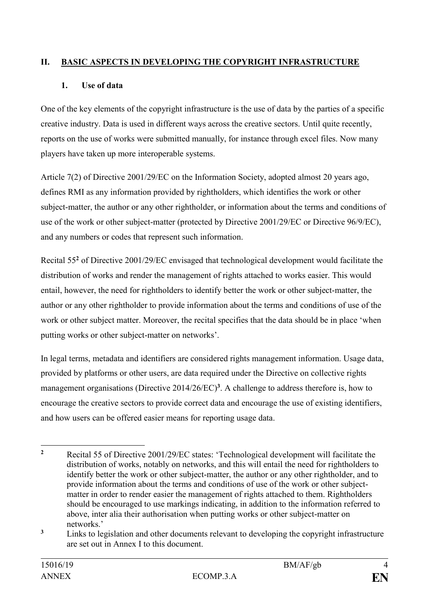### **II. BASIC ASPECTS IN DEVELOPING THE COPYRIGHT INFRASTRUCTURE**

### **1. Use of data**

One of the key elements of the copyright infrastructure is the use of data by the parties of a specific creative industry. Data is used in different ways across the creative sectors. Until quite recently, reports on the use of works were submitted manually, for instance through excel files. Now many players have taken up more interoperable systems.

Article 7(2) of Directive 2001/29/EC on the Information Society, adopted almost 20 years ago, defines RMI as any information provided by rightholders, which identifies the work or other subject-matter, the author or any other rightholder, or information about the terms and conditions of use of the work or other subject-matter (protected by Directive 2001/29/EC or Directive 96/9/EC), and any numbers or codes that represent such information.

Recital 55**<sup>2</sup>** of Directive 2001/29/EC envisaged that technological development would facilitate the distribution of works and render the management of rights attached to works easier. This would entail, however, the need for rightholders to identify better the work or other subject-matter, the author or any other rightholder to provide information about the terms and conditions of use of the work or other subject matter. Moreover, the recital specifies that the data should be in place ʻwhen putting works or other subject-matter on networks'.

In legal terms, metadata and identifiers are considered rights management information. Usage data, provided by platforms or other users, are data required under the Directive on collective rights management organisations (Directive 2014/26/EC)<sup>3</sup>. A challenge to address therefore is, how to encourage the creative sectors to provide correct data and encourage the use of existing identifiers, and how users can be offered easier means for reporting usage data.

<sup>1</sup> **<sup>2</sup>** Recital 55 of Directive 2001/29/EC states: ʻTechnological development will facilitate the distribution of works, notably on networks, and this will entail the need for rightholders to identify better the work or other subject-matter, the author or any other rightholder, and to provide information about the terms and conditions of use of the work or other subjectmatter in order to render easier the management of rights attached to them. Rightholders should be encouraged to use markings indicating, in addition to the information referred to above, inter alia their authorisation when putting works or other subject-matter on networks.'

**<sup>3</sup>** Links to legislation and other documents relevant to developing the copyright infrastructure are set out in Annex I to this document.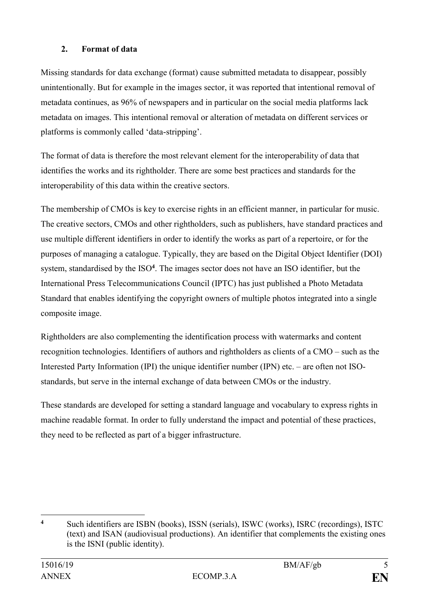### **2. Format of data**

Missing standards for data exchange (format) cause submitted metadata to disappear, possibly unintentionally. But for example in the images sector, it was reported that intentional removal of metadata continues, as 96% of newspapers and in particular on the social media platforms lack metadata on images. This intentional removal or alteration of metadata on different services or platforms is commonly called ʻdata-stripping'.

The format of data is therefore the most relevant element for the interoperability of data that identifies the works and its rightholder. There are some best practices and standards for the interoperability of this data within the creative sectors.

The membership of CMOs is key to exercise rights in an efficient manner, in particular for music. The creative sectors, CMOs and other rightholders, such as publishers, have standard practices and use multiple different identifiers in order to identify the works as part of a repertoire, or for the purposes of managing a catalogue. Typically, they are based on the Digital Object Identifier (DOI) system, standardised by the ISO**<sup>4</sup>** . The images sector does not have an ISO identifier, but the International Press Telecommunications Council (IPTC) has just published a Photo Metadata Standard that enables identifying the copyright owners of multiple photos integrated into a single composite image.

Rightholders are also complementing the identification process with watermarks and content recognition technologies. Identifiers of authors and rightholders as clients of a CMO – such as the Interested Party Information (IPI) the unique identifier number (IPN) etc. – are often not ISOstandards, but serve in the internal exchange of data between CMOs or the industry.

These standards are developed for setting a standard language and vocabulary to express rights in machine readable format. In order to fully understand the impact and potential of these practices, they need to be reflected as part of a bigger infrastructure.

<sup>&</sup>lt;u>.</u> **<sup>4</sup>** Such identifiers are ISBN (books), ISSN (serials), ISWC (works), ISRC (recordings), ISTC (text) and ISAN (audiovisual productions). An identifier that complements the existing ones is the ISNI (public identity).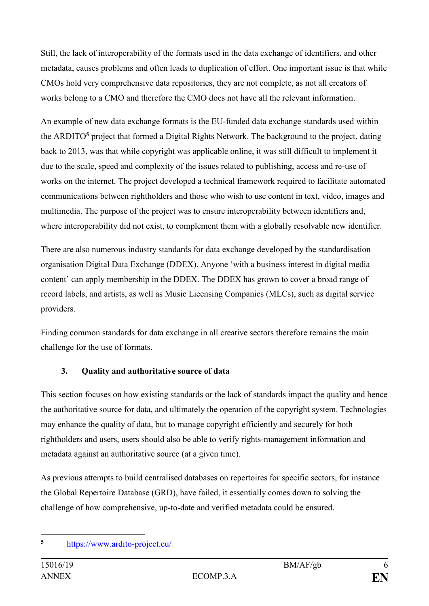Still, the lack of interoperability of the formats used in the data exchange of identifiers, and other metadata, causes problems and often leads to duplication of effort. One important issue is that while CMOs hold very comprehensive data repositories, they are not complete, as not all creators of works belong to a CMO and therefore the CMO does not have all the relevant information.

An example of new data exchange formats is the EU-funded data exchange standards used within the ARDITO**<sup>5</sup>** project that formed a Digital Rights Network. The background to the project, dating back to 2013, was that while copyright was applicable online, it was still difficult to implement it due to the scale, speed and complexity of the issues related to publishing, access and re-use of works on the internet. The project developed a technical framework required to facilitate automated communications between rightholders and those who wish to use content in text, video, images and multimedia. The purpose of the project was to ensure interoperability between identifiers and, where interoperability did not exist, to complement them with a globally resolvable new identifier.

There are also numerous industry standards for data exchange developed by the standardisation organisation Digital Data Exchange (DDEX). Anyone ʻwith a business interest in digital media content' can apply membership in the DDEX. The DDEX has grown to cover a broad range of record labels, and artists, as well as Music Licensing Companies (MLCs), such as digital service providers.

Finding common standards for data exchange in all creative sectors therefore remains the main challenge for the use of formats.

# **3. Quality and authoritative source of data**

This section focuses on how existing standards or the lack of standards impact the quality and hence the authoritative source for data, and ultimately the operation of the copyright system. Technologies may enhance the quality of data, but to manage copyright efficiently and securely for both rightholders and users, users should also be able to verify rights-management information and metadata against an authoritative source (at a given time).

As previous attempts to build centralised databases on repertoires for specific sectors, for instance the Global Repertoire Database (GRD), have failed, it essentially comes down to solving the challenge of how comprehensive, up-to-date and verified metadata could be ensured.

<sup>1</sup> **<sup>5</sup>** <https://www.ardito-project.eu/>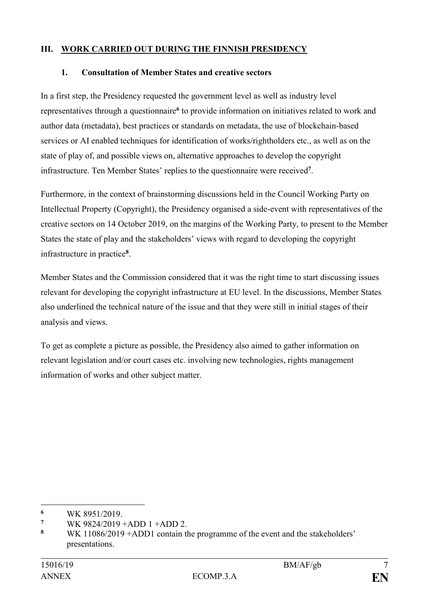### **III. WORK CARRIED OUT DURING THE FINNISH PRESIDENCY**

### **1. Consultation of Member States and creative sectors**

In a first step, the Presidency requested the government level as well as industry level representatives through a questionnaire<sup>6</sup> to provide information on initiatives related to work and author data (metadata), best practices or standards on metadata, the use of blockchain-based services or AI enabled techniques for identification of works/rightholders etc., as well as on the state of play of, and possible views on, alternative approaches to develop the copyright infrastructure. Ten Member States' replies to the questionnaire were received**<sup>7</sup>** .

Furthermore, in the context of brainstorming discussions held in the Council Working Party on Intellectual Property (Copyright), the Presidency organised a side-event with representatives of the creative sectors on 14 October 2019, on the margins of the Working Party, to present to the Member States the state of play and the stakeholders' views with regard to developing the copyright infrastructure in practice**<sup>8</sup>** .

Member States and the Commission considered that it was the right time to start discussing issues relevant for developing the copyright infrastructure at EU level. In the discussions, Member States also underlined the technical nature of the issue and that they were still in initial stages of their analysis and views.

To get as complete a picture as possible, the Presidency also aimed to gather information on relevant legislation and/or court cases etc. involving new technologies, rights management information of works and other subject matter.

1

**<sup>6</sup>** WK 8951/2019.

**<sup>7</sup>** WK 9824/2019 +ADD 1 +ADD 2.

WK 11086/2019 +ADD1 contain the programme of the event and the stakeholders' presentations.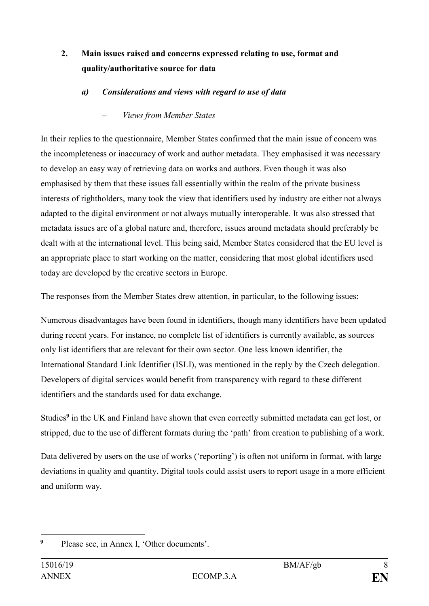# **2. Main issues raised and concerns expressed relating to use, format and quality/authoritative source for data**

### *a) Considerations and views with regard to use of data*

### – *Views from Member States*

In their replies to the questionnaire, Member States confirmed that the main issue of concern was the incompleteness or inaccuracy of work and author metadata. They emphasised it was necessary to develop an easy way of retrieving data on works and authors. Even though it was also emphasised by them that these issues fall essentially within the realm of the private business interests of rightholders, many took the view that identifiers used by industry are either not always adapted to the digital environment or not always mutually interoperable. It was also stressed that metadata issues are of a global nature and, therefore, issues around metadata should preferably be dealt with at the international level. This being said, Member States considered that the EU level is an appropriate place to start working on the matter, considering that most global identifiers used today are developed by the creative sectors in Europe.

The responses from the Member States drew attention, in particular, to the following issues:

Numerous disadvantages have been found in identifiers, though many identifiers have been updated during recent years. For instance, no complete list of identifiers is currently available, as sources only list identifiers that are relevant for their own sector. One less known identifier, the International Standard Link Identifier (ISLI), was mentioned in the reply by the Czech delegation. Developers of digital services would benefit from transparency with regard to these different identifiers and the standards used for data exchange.

Studies**<sup>9</sup>** in the UK and Finland have shown that even correctly submitted metadata can get lost, or stripped, due to the use of different formats during the ʻpath' from creation to publishing of a work.

Data delivered by users on the use of works (ʻreporting') is often not uniform in format, with large deviations in quality and quantity. Digital tools could assist users to report usage in a more efficient and uniform way.

<sup>1</sup> **<sup>9</sup>** Please see, in Annex I, ʻOther documents'.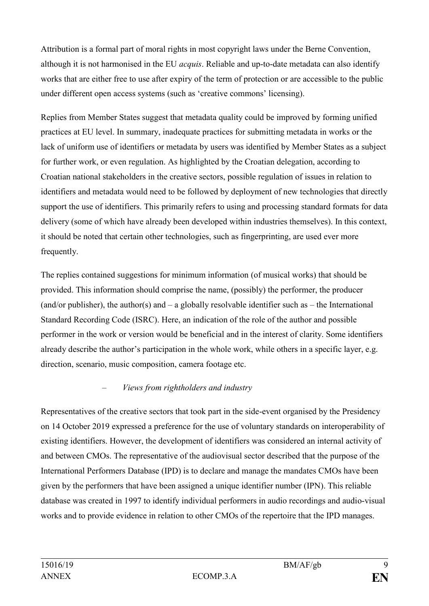Attribution is a formal part of moral rights in most copyright laws under the Berne Convention, although it is not harmonised in the EU *acquis*. Reliable and up-to-date metadata can also identify works that are either free to use after expiry of the term of protection or are accessible to the public under different open access systems (such as ʻcreative commons' licensing).

Replies from Member States suggest that metadata quality could be improved by forming unified practices at EU level. In summary, inadequate practices for submitting metadata in works or the lack of uniform use of identifiers or metadata by users was identified by Member States as a subject for further work, or even regulation. As highlighted by the Croatian delegation, according to Croatian national stakeholders in the creative sectors, possible regulation of issues in relation to identifiers and metadata would need to be followed by deployment of new technologies that directly support the use of identifiers. This primarily refers to using and processing standard formats for data delivery (some of which have already been developed within industries themselves). In this context, it should be noted that certain other technologies, such as fingerprinting, are used ever more frequently.

The replies contained suggestions for minimum information (of musical works) that should be provided. This information should comprise the name, (possibly) the performer, the producer (and/or publisher), the author(s) and  $-$  a globally resolvable identifier such as  $-$  the International Standard Recording Code (ISRC). Here, an indication of the role of the author and possible performer in the work or version would be beneficial and in the interest of clarity. Some identifiers already describe the author's participation in the whole work, while others in a specific layer, e.g. direction, scenario, music composition, camera footage etc.

# – *Views from rightholders and industry*

Representatives of the creative sectors that took part in the side-event organised by the Presidency on 14 October 2019 expressed a preference for the use of voluntary standards on interoperability of existing identifiers. However, the development of identifiers was considered an internal activity of and between CMOs. The representative of the audiovisual sector described that the purpose of the International Performers Database (IPD) is to declare and manage the mandates CMOs have been given by the performers that have been assigned a unique identifier number (IPN). This reliable database was created in 1997 to identify individual performers in audio recordings and audio-visual works and to provide evidence in relation to other CMOs of the repertoire that the IPD manages.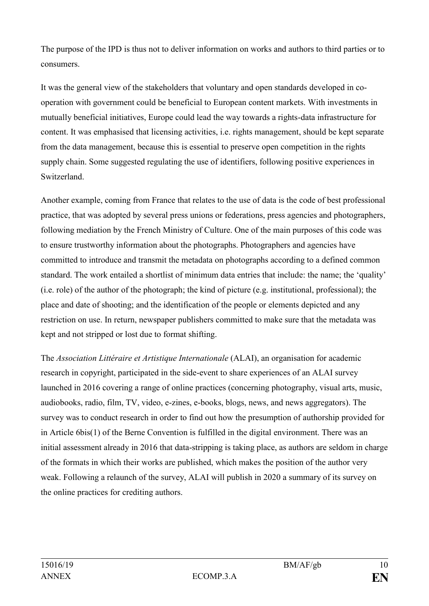The purpose of the IPD is thus not to deliver information on works and authors to third parties or to consumers.

It was the general view of the stakeholders that voluntary and open standards developed in cooperation with government could be beneficial to European content markets. With investments in mutually beneficial initiatives, Europe could lead the way towards a rights-data infrastructure for content. It was emphasised that licensing activities, i.e. rights management, should be kept separate from the data management, because this is essential to preserve open competition in the rights supply chain. Some suggested regulating the use of identifiers, following positive experiences in Switzerland.

Another example, coming from France that relates to the use of data is the code of best professional practice, that was adopted by several press unions or federations, press agencies and photographers, following mediation by the French Ministry of Culture. One of the main purposes of this code was to ensure trustworthy information about the photographs. Photographers and agencies have committed to introduce and transmit the metadata on photographs according to a defined common standard. The work entailed a shortlist of minimum data entries that include: the name; the ʻquality' (i.e. role) of the author of the photograph; the kind of picture (e.g. institutional, professional); the place and date of shooting; and the identification of the people or elements depicted and any restriction on use. In return, newspaper publishers committed to make sure that the metadata was kept and not stripped or lost due to format shifting.

The *Association Littéraire et Artistique Internationale* (ALAI), an organisation for academic research in copyright, participated in the side-event to share experiences of an ALAI survey launched in 2016 covering a range of online practices (concerning photography, visual arts, music, audiobooks, radio, film, TV, video, e-zines, e-books, blogs, news, and news aggregators). The survey was to conduct research in order to find out how the presumption of authorship provided for in Article 6bis(1) of the Berne Convention is fulfilled in the digital environment. There was an initial assessment already in 2016 that data-stripping is taking place, as authors are seldom in charge of the formats in which their works are published, which makes the position of the author very weak. Following a relaunch of the survey, ALAI will publish in 2020 a summary of its survey on the online practices for crediting authors.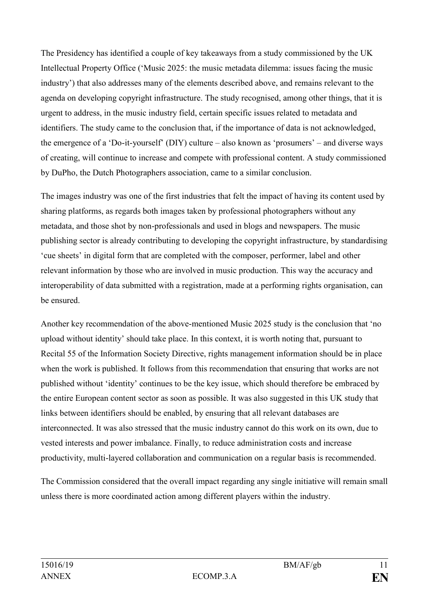The Presidency has identified a couple of key takeaways from a study commissioned by the UK Intellectual Property Office (ʻMusic 2025: the music metadata dilemma: issues facing the music industry') that also addresses many of the elements described above, and remains relevant to the agenda on developing copyright infrastructure. The study recognised, among other things, that it is urgent to address, in the music industry field, certain specific issues related to metadata and identifiers. The study came to the conclusion that, if the importance of data is not acknowledged, the emergence of a ʻDo-it-yourself' (DIY) culture – also known as ʻprosumers' – and diverse ways of creating, will continue to increase and compete with professional content. A study commissioned by DuPho, the Dutch Photographers association, came to a similar conclusion.

The images industry was one of the first industries that felt the impact of having its content used by sharing platforms, as regards both images taken by professional photographers without any metadata, and those shot by non-professionals and used in blogs and newspapers. The music publishing sector is already contributing to developing the copyright infrastructure, by standardising ʻcue sheets' in digital form that are completed with the composer, performer, label and other relevant information by those who are involved in music production. This way the accuracy and interoperability of data submitted with a registration, made at a performing rights organisation, can be ensured.

Another key recommendation of the above-mentioned Music 2025 study is the conclusion that ʻno upload without identity' should take place. In this context, it is worth noting that, pursuant to Recital 55 of the Information Society Directive, rights management information should be in place when the work is published. It follows from this recommendation that ensuring that works are not published without ʻidentity' continues to be the key issue, which should therefore be embraced by the entire European content sector as soon as possible. It was also suggested in this UK study that links between identifiers should be enabled, by ensuring that all relevant databases are interconnected. It was also stressed that the music industry cannot do this work on its own, due to vested interests and power imbalance. Finally, to reduce administration costs and increase productivity, multi-layered collaboration and communication on a regular basis is recommended.

The Commission considered that the overall impact regarding any single initiative will remain small unless there is more coordinated action among different players within the industry.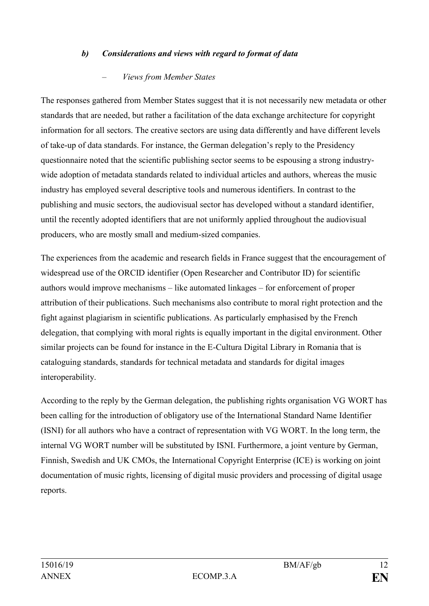#### *b) Considerations and views with regard to format of data*

### – *Views from Member States*

The responses gathered from Member States suggest that it is not necessarily new metadata or other standards that are needed, but rather a facilitation of the data exchange architecture for copyright information for all sectors. The creative sectors are using data differently and have different levels of take-up of data standards. For instance, the German delegation's reply to the Presidency questionnaire noted that the scientific publishing sector seems to be espousing a strong industrywide adoption of metadata standards related to individual articles and authors, whereas the music industry has employed several descriptive tools and numerous identifiers. In contrast to the publishing and music sectors, the audiovisual sector has developed without a standard identifier, until the recently adopted identifiers that are not uniformly applied throughout the audiovisual producers, who are mostly small and medium-sized companies.

The experiences from the academic and research fields in France suggest that the encouragement of widespread use of the ORCID identifier (Open Researcher and Contributor ID) for scientific authors would improve mechanisms – like automated linkages – for enforcement of proper attribution of their publications. Such mechanisms also contribute to moral right protection and the fight against plagiarism in scientific publications. As particularly emphasised by the French delegation, that complying with moral rights is equally important in the digital environment. Other similar projects can be found for instance in the E-Cultura Digital Library in Romania that is cataloguing standards, standards for technical metadata and standards for digital images interoperability.

According to the reply by the German delegation, the publishing rights organisation VG WORT has been calling for the introduction of obligatory use of the International Standard Name Identifier (ISNI) for all authors who have a contract of representation with VG WORT. In the long term, the internal VG WORT number will be substituted by ISNI. Furthermore, a joint venture by German, Finnish, Swedish and UK CMOs, the International Copyright Enterprise (ICE) is working on joint documentation of music rights, licensing of digital music providers and processing of digital usage reports.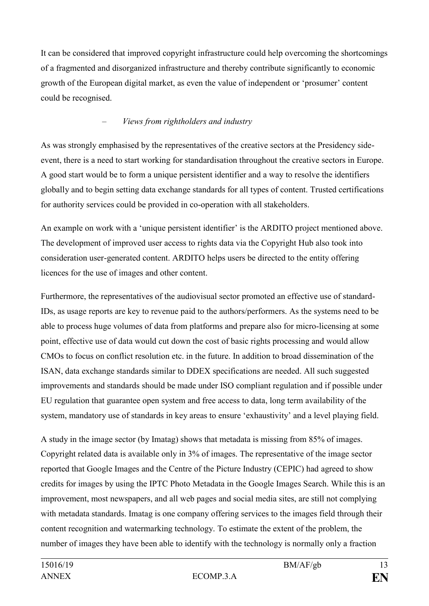It can be considered that improved copyright infrastructure could help overcoming the shortcomings of a fragmented and disorganized infrastructure and thereby contribute significantly to economic growth of the European digital market, as even the value of independent or ʻprosumer' content could be recognised.

### – *Views from rightholders and industry*

As was strongly emphasised by the representatives of the creative sectors at the Presidency sideevent, there is a need to start working for standardisation throughout the creative sectors in Europe. A good start would be to form a unique persistent identifier and a way to resolve the identifiers globally and to begin setting data exchange standards for all types of content. Trusted certifications for authority services could be provided in co-operation with all stakeholders.

An example on work with a ʻunique persistent identifier' is the ARDITO project mentioned above. The development of improved user access to rights data via the Copyright Hub also took into consideration user-generated content. ARDITO helps users be directed to the entity offering licences for the use of images and other content.

Furthermore, the representatives of the audiovisual sector promoted an effective use of standard-IDs, as usage reports are key to revenue paid to the authors/performers. As the systems need to be able to process huge volumes of data from platforms and prepare also for micro-licensing at some point, effective use of data would cut down the cost of basic rights processing and would allow CMOs to focus on conflict resolution etc. in the future. In addition to broad dissemination of the ISAN, data exchange standards similar to DDEX specifications are needed. All such suggested improvements and standards should be made under ISO compliant regulation and if possible under EU regulation that guarantee open system and free access to data, long term availability of the system, mandatory use of standards in key areas to ensure ʻexhaustivity' and a level playing field.

A study in the image sector (by Imatag) shows that metadata is missing from 85% of images. Copyright related data is available only in 3% of images. The representative of the image sector reported that Google Images and the Centre of the Picture Industry (CEPIC) had agreed to show credits for images by using the IPTC Photo Metadata in the Google Images Search. While this is an improvement, most newspapers, and all web pages and social media sites, are still not complying with metadata standards. Imatag is one company offering services to the images field through their content recognition and watermarking technology. To estimate the extent of the problem, the number of images they have been able to identify with the technology is normally only a fraction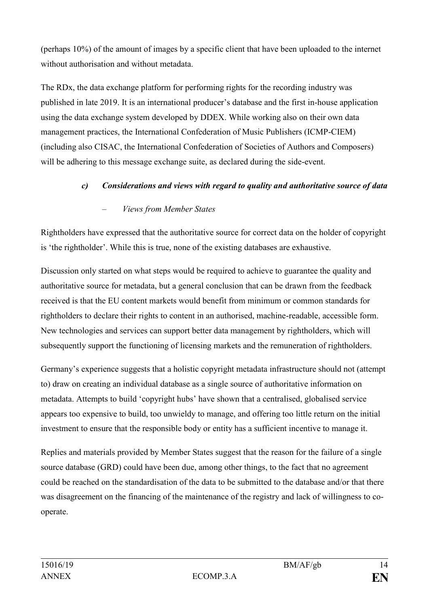(perhaps 10%) of the amount of images by a specific client that have been uploaded to the internet without authorisation and without metadata.

The RDx, the data exchange platform for performing rights for the recording industry was published in late 2019. It is an international producer's database and the first in-house application using the data exchange system developed by DDEX. While working also on their own data management practices, the International Confederation of Music Publishers (ICMP-CIEM) (including also CISAC, the International Confederation of Societies of Authors and Composers) will be adhering to this message exchange suite, as declared during the side-event.

### *c) Considerations and views with regard to quality and authoritative source of data*

### – *Views from Member States*

Rightholders have expressed that the authoritative source for correct data on the holder of copyright is ʻthe rightholder'. While this is true, none of the existing databases are exhaustive.

Discussion only started on what steps would be required to achieve to guarantee the quality and authoritative source for metadata, but a general conclusion that can be drawn from the feedback received is that the EU content markets would benefit from minimum or common standards for rightholders to declare their rights to content in an authorised, machine-readable, accessible form. New technologies and services can support better data management by rightholders, which will subsequently support the functioning of licensing markets and the remuneration of rightholders.

Germany's experience suggests that a holistic copyright metadata infrastructure should not (attempt to) draw on creating an individual database as a single source of authoritative information on metadata. Attempts to build ʻcopyright hubs' have shown that a centralised, globalised service appears too expensive to build, too unwieldy to manage, and offering too little return on the initial investment to ensure that the responsible body or entity has a sufficient incentive to manage it.

Replies and materials provided by Member States suggest that the reason for the failure of a single source database (GRD) could have been due, among other things, to the fact that no agreement could be reached on the standardisation of the data to be submitted to the database and/or that there was disagreement on the financing of the maintenance of the registry and lack of willingness to cooperate.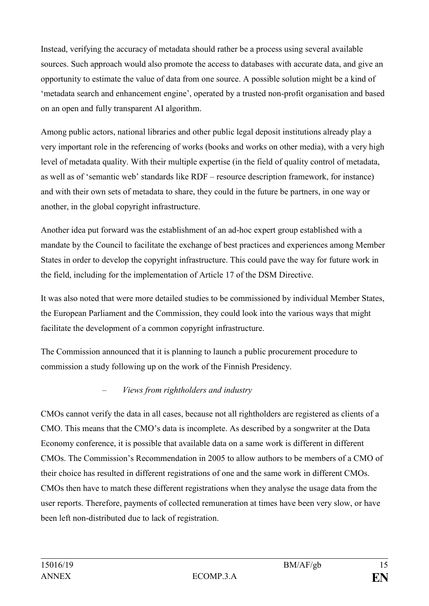Instead, verifying the accuracy of metadata should rather be a process using several available sources. Such approach would also promote the access to databases with accurate data, and give an opportunity to estimate the value of data from one source. A possible solution might be a kind of ʻmetadata search and enhancement engine', operated by a trusted non-profit organisation and based on an open and fully transparent AI algorithm.

Among public actors, national libraries and other public legal deposit institutions already play a very important role in the referencing of works (books and works on other media), with a very high level of metadata quality. With their multiple expertise (in the field of quality control of metadata, as well as of ʻsemantic web' standards like RDF – resource description framework, for instance) and with their own sets of metadata to share, they could in the future be partners, in one way or another, in the global copyright infrastructure.

Another idea put forward was the establishment of an ad-hoc expert group established with a mandate by the Council to facilitate the exchange of best practices and experiences among Member States in order to develop the copyright infrastructure. This could pave the way for future work in the field, including for the implementation of Article 17 of the DSM Directive.

It was also noted that were more detailed studies to be commissioned by individual Member States, the European Parliament and the Commission, they could look into the various ways that might facilitate the development of a common copyright infrastructure.

The Commission announced that it is planning to launch a public procurement procedure to commission a study following up on the work of the Finnish Presidency.

# – *Views from rightholders and industry*

CMOs cannot verify the data in all cases, because not all rightholders are registered as clients of a CMO. This means that the CMO's data is incomplete. As described by a songwriter at the Data Economy conference, it is possible that available data on a same work is different in different CMOs. The Commission's Recommendation in 2005 to allow authors to be members of a CMO of their choice has resulted in different registrations of one and the same work in different CMOs. CMOs then have to match these different registrations when they analyse the usage data from the user reports. Therefore, payments of collected remuneration at times have been very slow, or have been left non-distributed due to lack of registration.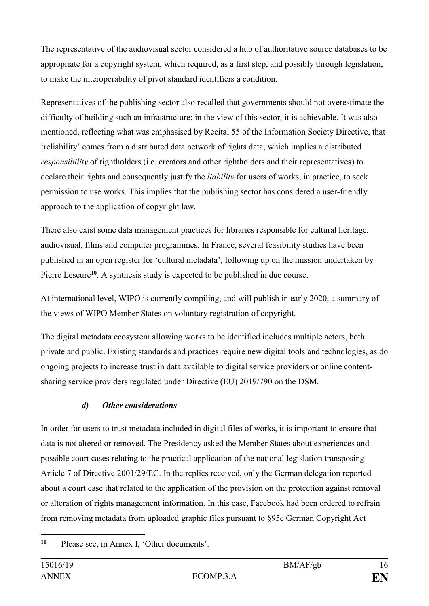The representative of the audiovisual sector considered a hub of authoritative source databases to be appropriate for a copyright system, which required, as a first step, and possibly through legislation, to make the interoperability of pivot standard identifiers a condition.

Representatives of the publishing sector also recalled that governments should not overestimate the difficulty of building such an infrastructure; in the view of this sector, it is achievable. It was also mentioned, reflecting what was emphasised by Recital 55 of the Information Society Directive, that ʻreliability' comes from a distributed data network of rights data, which implies a distributed *responsibility* of rightholders (i.e. creators and other rightholders and their representatives) to declare their rights and consequently justify the *liability* for users of works, in practice, to seek permission to use works. This implies that the publishing sector has considered a user-friendly approach to the application of copyright law.

There also exist some data management practices for libraries responsible for cultural heritage, audiovisual, films and computer programmes. In France, several feasibility studies have been published in an open register for ʻcultural metadata', following up on the mission undertaken by Pierre Lescure**<sup>10</sup>**. A synthesis study is expected to be published in due course.

At international level, WIPO is currently compiling, and will publish in early 2020, a summary of the views of WIPO Member States on voluntary registration of copyright.

The digital metadata ecosystem allowing works to be identified includes multiple actors, both private and public. Existing standards and practices require new digital tools and technologies, as do ongoing projects to increase trust in data available to digital service providers or online contentsharing service providers regulated under Directive (EU) 2019/790 on the DSM.

# *d) Other considerations*

In order for users to trust metadata included in digital files of works, it is important to ensure that data is not altered or removed. The Presidency asked the Member States about experiences and possible court cases relating to the practical application of the national legislation transposing Article 7 of Directive 2001/29/EC. In the replies received, only the German delegation reported about a court case that related to the application of the provision on the protection against removal or alteration of rights management information. In this case, Facebook had been ordered to refrain from removing metadata from uploaded graphic files pursuant to §95c German Copyright Act

<sup>1</sup> **<sup>10</sup>** Please see, in Annex I, ʻOther documents'.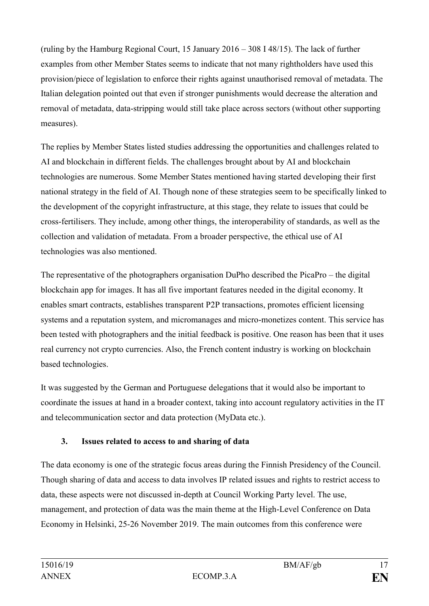(ruling by the Hamburg Regional Court, 15 January 2016 – 308 I 48/15). The lack of further examples from other Member States seems to indicate that not many rightholders have used this provision/piece of legislation to enforce their rights against unauthorised removal of metadata. The Italian delegation pointed out that even if stronger punishments would decrease the alteration and removal of metadata, data-stripping would still take place across sectors (without other supporting measures).

The replies by Member States listed studies addressing the opportunities and challenges related to AI and blockchain in different fields. The challenges brought about by AI and blockchain technologies are numerous. Some Member States mentioned having started developing their first national strategy in the field of AI. Though none of these strategies seem to be specifically linked to the development of the copyright infrastructure, at this stage, they relate to issues that could be cross-fertilisers. They include, among other things, the interoperability of standards, as well as the collection and validation of metadata. From a broader perspective, the ethical use of AI technologies was also mentioned.

The representative of the photographers organisation DuPho described the PicaPro – the digital blockchain app for images. It has all five important features needed in the digital economy. It enables smart contracts, establishes transparent P2P transactions, promotes efficient licensing systems and a reputation system, and micromanages and micro-monetizes content. This service has been tested with photographers and the initial feedback is positive. One reason has been that it uses real currency not crypto currencies. Also, the French content industry is working on blockchain based technologies.

It was suggested by the German and Portuguese delegations that it would also be important to coordinate the issues at hand in a broader context, taking into account regulatory activities in the IT and telecommunication sector and data protection (MyData etc.).

# **3. Issues related to access to and sharing of data**

The data economy is one of the strategic focus areas during the Finnish Presidency of the Council. Though sharing of data and access to data involves IP related issues and rights to restrict access to data, these aspects were not discussed in-depth at Council Working Party level. The use, management, and protection of data was the main theme at the High-Level Conference on Data Economy in Helsinki, 25-26 November 2019. The main outcomes from this conference were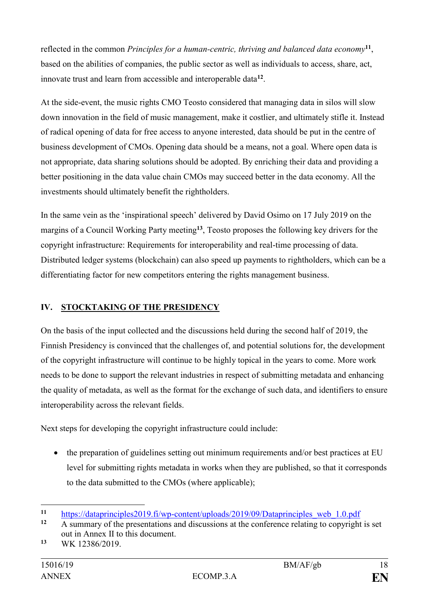reflected in the common *Principles for a human-centric, thriving and balanced data economy***<sup>11</sup>** , based on the abilities of companies, the public sector as well as individuals to access, share, act, innovate trust and learn from accessible and interoperable data**<sup>12</sup>** .

At the side-event, the music rights CMO Teosto considered that managing data in silos will slow down innovation in the field of music management, make it costlier, and ultimately stifle it. Instead of radical opening of data for free access to anyone interested, data should be put in the centre of business development of CMOs. Opening data should be a means, not a goal. Where open data is not appropriate, data sharing solutions should be adopted. By enriching their data and providing a better positioning in the data value chain CMOs may succeed better in the data economy. All the investments should ultimately benefit the rightholders.

In the same vein as the ʻinspirational speech' delivered by David Osimo on 17 July 2019 on the margins of a Council Working Party meeting**<sup>13</sup>**, Teosto proposes the following key drivers for the copyright infrastructure: Requirements for interoperability and real-time processing of data. Distributed ledger systems (blockchain) can also speed up payments to rightholders, which can be a differentiating factor for new competitors entering the rights management business.

### **IV. STOCKTAKING OF THE PRESIDENCY**

On the basis of the input collected and the discussions held during the second half of 2019, the Finnish Presidency is convinced that the challenges of, and potential solutions for, the development of the copyright infrastructure will continue to be highly topical in the years to come. More work needs to be done to support the relevant industries in respect of submitting metadata and enhancing the quality of metadata, as well as the format for the exchange of such data, and identifiers to ensure interoperability across the relevant fields.

Next steps for developing the copyright infrastructure could include:

• the preparation of guidelines setting out minimum requirements and/or best practices at EU level for submitting rights metadata in works when they are published, so that it corresponds to the data submitted to the CMOs (where applicable);

<sup>1</sup> 11 [https://dataprinciples2019.fi/wp-content/uploads/2019/09/Dataprinciples\\_web\\_1.0.pdf](https://dataprinciples2019.fi/wp-content/uploads/2019/09/Dataprinciples_web_1.0.pdf)

**<sup>12</sup>** A summary of the presentations and discussions at the conference relating to copyright is set out in Annex II to this document.

**<sup>13</sup>** WK 12386/2019.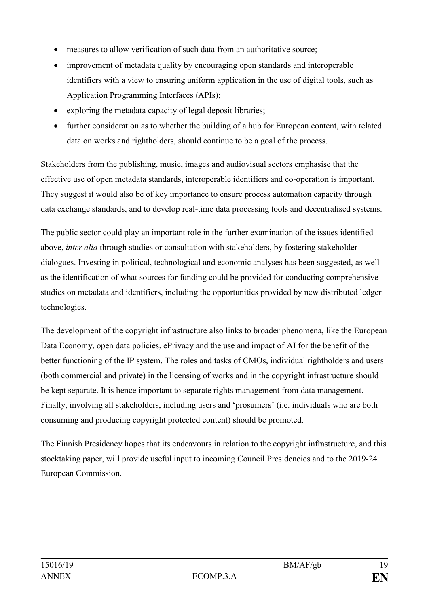- measures to allow verification of such data from an authoritative source;
- improvement of metadata quality by encouraging open standards and interoperable identifiers with a view to ensuring uniform application in the use of digital tools, such as Application Programming Interfaces (APIs);
- exploring the metadata capacity of legal deposit libraries;
- further consideration as to whether the building of a hub for European content, with related data on works and rightholders, should continue to be a goal of the process.

Stakeholders from the publishing, music, images and audiovisual sectors emphasise that the effective use of open metadata standards, interoperable identifiers and co-operation is important. They suggest it would also be of key importance to ensure process automation capacity through data exchange standards, and to develop real-time data processing tools and decentralised systems.

The public sector could play an important role in the further examination of the issues identified above, *inter alia* through studies or consultation with stakeholders, by fostering stakeholder dialogues. Investing in political, technological and economic analyses has been suggested, as well as the identification of what sources for funding could be provided for conducting comprehensive studies on metadata and identifiers, including the opportunities provided by new distributed ledger technologies.

The development of the copyright infrastructure also links to broader phenomena, like the European Data Economy, open data policies, ePrivacy and the use and impact of AI for the benefit of the better functioning of the IP system. The roles and tasks of CMOs, individual rightholders and users (both commercial and private) in the licensing of works and in the copyright infrastructure should be kept separate. It is hence important to separate rights management from data management. Finally, involving all stakeholders, including users and ʻprosumers' (i.e. individuals who are both consuming and producing copyright protected content) should be promoted.

The Finnish Presidency hopes that its endeavours in relation to the copyright infrastructure, and this stocktaking paper, will provide useful input to incoming Council Presidencies and to the 2019-24 European Commission.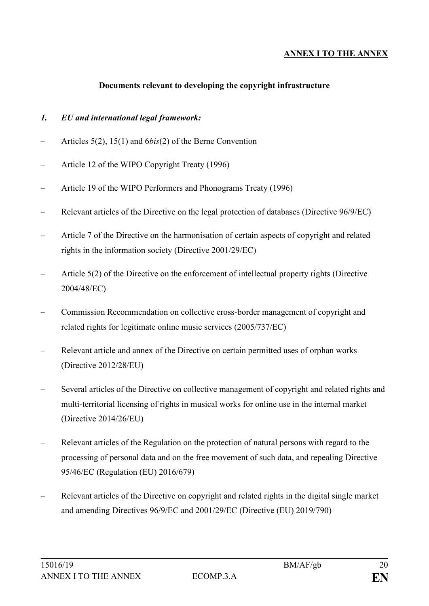### **ANNEX I TO THE ANNEX**

#### **Documents relevant to developing the copyright infrastructure**

#### *1. EU and international legal framework:*

- Articles 5(2), 15(1) and 6*bis*(2) of the Berne Convention
- Article 12 of the WIPO Copyright Treaty (1996)
- Article 19 of the WIPO Performers and Phonograms Treaty (1996)
- Relevant articles of the Directive on the legal protection of databases (Directive 96/9/EC)
- Article 7 of the Directive on the harmonisation of certain aspects of copyright and related rights in the information society (Directive 2001/29/EC)
- Article 5(2) of the Directive on the enforcement of intellectual property rights (Directive 2004/48/EC)
- Commission Recommendation on collective cross-border management of copyright and related rights for legitimate online music services (2005/737/EC)
- Relevant article and annex of the Directive on certain permitted uses of orphan works (Directive 2012/28/EU)
- Several articles of the Directive on collective management of copyright and related rights and multi-territorial licensing of rights in musical works for online use in the internal market (Directive 2014/26/EU)
- Relevant articles of the Regulation on the protection of natural persons with regard to the processing of personal data and on the free movement of such data, and repealing Directive 95/46/EC (Regulation (EU) 2016/679)
- Relevant articles of the Directive on copyright and related rights in the digital single market and amending Directives 96/9/EC and 2001/29/EC (Directive (EU) 2019/790)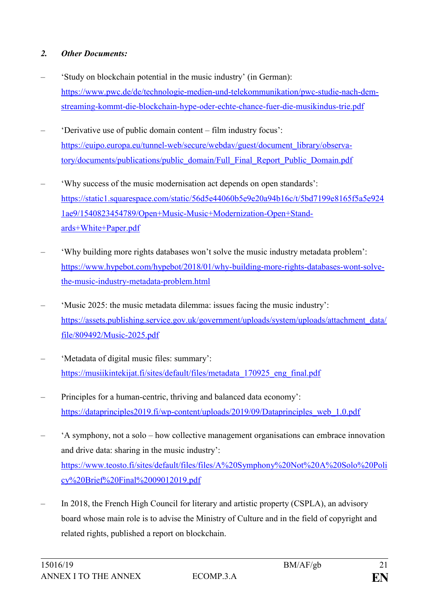### *2. Other Documents:*

- ʻStudy on blockchain potential in the music industry' (in German): [https://www.pwc.de/de/technologie-medien-und-telekommunikation/pwc-studie-nach-dem](https://www.pwc.de/de/technologie-medien-und-telekommunikation/pwc-studie-nach-dem-streaming-kommt-die-blockchain-hype-oder-echte-chance-fuer-die-musikindus-trie.pdf)[streaming-kommt-die-blockchain-hype-oder-echte-chance-fuer-die-musikindus-trie.pdf](https://www.pwc.de/de/technologie-medien-und-telekommunikation/pwc-studie-nach-dem-streaming-kommt-die-blockchain-hype-oder-echte-chance-fuer-die-musikindus-trie.pdf)
- ʻDerivative use of public domain content film industry focus': [https://euipo.europa.eu/tunnel-web/secure/webdav/guest/document\\_library/observa](https://euipo.europa.eu/tunnel-web/secure/webdav/guest/document_library/observa-tory/documents/publications/public_domain/Full_Final_Report_Public_Domain.pdf)[tory/documents/publications/public\\_domain/Full\\_Final\\_Report\\_Public\\_Domain.pdf](https://euipo.europa.eu/tunnel-web/secure/webdav/guest/document_library/observa-tory/documents/publications/public_domain/Full_Final_Report_Public_Domain.pdf)
- ʻWhy success of the music modernisation act depends on open standards': [https://static1.squarespace.com/static/56d5e44060b5e9e20a94b16c/t/5bd7199e8165f5a5e924](https://static1.squarespace.com/static/56d5e44060b5e9e20a94b16c/t/5bd7199e8165f5a5e9241ae9/1540823454789/Open+Music-Music+Modernization-Open+Stand-ards+White+Paper.pdf) [1ae9/1540823454789/Open+Music-Music+Modernization-Open+Stand](https://static1.squarespace.com/static/56d5e44060b5e9e20a94b16c/t/5bd7199e8165f5a5e9241ae9/1540823454789/Open+Music-Music+Modernization-Open+Stand-ards+White+Paper.pdf)[ards+White+Paper.pdf](https://static1.squarespace.com/static/56d5e44060b5e9e20a94b16c/t/5bd7199e8165f5a5e9241ae9/1540823454789/Open+Music-Music+Modernization-Open+Stand-ards+White+Paper.pdf)
- ʻWhy building more rights databases won't solve the music industry metadata problem': [https://www.hypebot.com/hypebot/2018/01/why-building-more-rights-databases-wont-solve](https://www.hypebot.com/hypebot/2018/01/why-building-more-rights-databases-wont-solve-the-music-industry-metadata-problem.html)[the-music-industry-metadata-problem.html](https://www.hypebot.com/hypebot/2018/01/why-building-more-rights-databases-wont-solve-the-music-industry-metadata-problem.html)
- ʻMusic 2025: the music metadata dilemma: issues facing the music industry': [https://assets.publishing.service.gov.uk/government/uploads/system/uploads/attachment\\_data/](https://assets.publishing.service.gov.uk/government/uploads/system/uploads/attachment_data/file/809492/Music-2025.pdf) [file/809492/Music-2025.pdf](https://assets.publishing.service.gov.uk/government/uploads/system/uploads/attachment_data/file/809492/Music-2025.pdf)
- ʻMetadata of digital music files: summary': https://musiikintekijat.fi/sites/default/files/metadata 170925 eng final.pdf
- Principles for a human-centric, thriving and balanced data economy': [https://dataprinciples2019.fi/wp-content/uploads/2019/09/Dataprinciples\\_web\\_1.0.pdf](https://dataprinciples2019.fi/wp-content/uploads/2019/09/Dataprinciples_web_1.0.pdf)
- ʻA symphony, not a solo how collective management organisations can embrace innovation and drive data: sharing in the music industry': [https://www.teosto.fi/sites/default/files/files/A%20Symphony%20Not%20A%20Solo%20Poli](https://www.teosto.fi/sites/default/files/files/A%20Symphony%20Not%20A%20Solo%20Policy%20Brief%20Final%2009012019.pdf) [cy%20Brief%20Final%2009012019.pdf](https://www.teosto.fi/sites/default/files/files/A%20Symphony%20Not%20A%20Solo%20Policy%20Brief%20Final%2009012019.pdf)
- In 2018, the French High Council for literary and artistic property (CSPLA), an advisory board whose main role is to advise the Ministry of Culture and in the field of copyright and related rights, published a report on blockchain.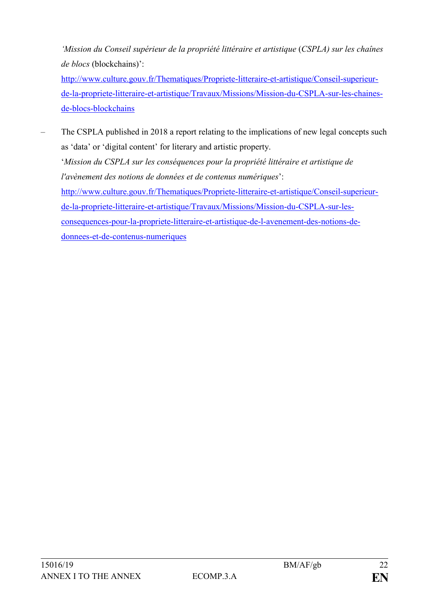*ʻMission du Conseil supérieur de la propriété littéraire et artistique* (*CSPLA) sur les chaînes de blocs* (blockchains)':

[http://www.culture.gouv.fr/Thematiques/Propriete-litteraire-et-artistique/Conseil-superieur](http://www.culture.gouv.fr/Thematiques/Propriete-litteraire-et-artistique/Conseil-superieur-de-la-propriete-litteraire-et-artistique/Travaux/Missions/Mission-du-CSPLA-sur-les-chaines-de-blocs-blockchains)[de-la-propriete-litteraire-et-artistique/Travaux/Missions/Mission-du-CSPLA-sur-les-chaines](http://www.culture.gouv.fr/Thematiques/Propriete-litteraire-et-artistique/Conseil-superieur-de-la-propriete-litteraire-et-artistique/Travaux/Missions/Mission-du-CSPLA-sur-les-chaines-de-blocs-blockchains)[de-blocs-blockchains](http://www.culture.gouv.fr/Thematiques/Propriete-litteraire-et-artistique/Conseil-superieur-de-la-propriete-litteraire-et-artistique/Travaux/Missions/Mission-du-CSPLA-sur-les-chaines-de-blocs-blockchains)

– The CSPLA published in 2018 a report relating to the implications of new legal concepts such as ʻdata' or ʻdigital content' for literary and artistic property. ʻ*Mission du CSPLA sur les conséquences pour la propriété littéraire et artistique de l'avènement des notions de données et de contenus numériques*': [http://www.culture.gouv.fr/Thematiques/Propriete-litteraire-et-artistique/Conseil-superieur](http://www.culture.gouv.fr/Thematiques/Propriete-litteraire-et-artistique/Conseil-superieur-de-la-propriete-litteraire-et-artistique/Travaux/Missions/Mission-du-CSPLA-sur-les-consequences-pour-la-propriete-litteraire-et-artistique-de-l-avenement-des-notions-de-donnees-et-de-contenus-numeriques)[de-la-propriete-litteraire-et-artistique/Travaux/Missions/Mission-du-CSPLA-sur-les](http://www.culture.gouv.fr/Thematiques/Propriete-litteraire-et-artistique/Conseil-superieur-de-la-propriete-litteraire-et-artistique/Travaux/Missions/Mission-du-CSPLA-sur-les-consequences-pour-la-propriete-litteraire-et-artistique-de-l-avenement-des-notions-de-donnees-et-de-contenus-numeriques)[consequences-pour-la-propriete-litteraire-et-artistique-de-l-avenement-des-notions-de](http://www.culture.gouv.fr/Thematiques/Propriete-litteraire-et-artistique/Conseil-superieur-de-la-propriete-litteraire-et-artistique/Travaux/Missions/Mission-du-CSPLA-sur-les-consequences-pour-la-propriete-litteraire-et-artistique-de-l-avenement-des-notions-de-donnees-et-de-contenus-numeriques)[donnees-et-de-contenus-numeriques](http://www.culture.gouv.fr/Thematiques/Propriete-litteraire-et-artistique/Conseil-superieur-de-la-propriete-litteraire-et-artistique/Travaux/Missions/Mission-du-CSPLA-sur-les-consequences-pour-la-propriete-litteraire-et-artistique-de-l-avenement-des-notions-de-donnees-et-de-contenus-numeriques)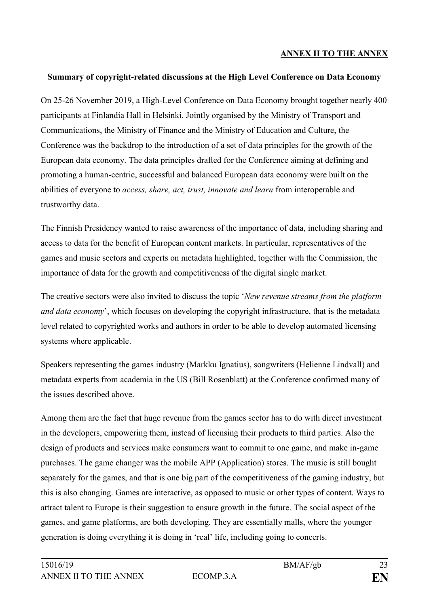### **ANNEX II TO THE ANNEX**

#### **Summary of copyright-related discussions at the High Level Conference on Data Economy**

On 25-26 November 2019, a High-Level Conference on Data Economy brought together nearly 400 participants at Finlandia Hall in Helsinki. Jointly organised by the Ministry of Transport and Communications, the Ministry of Finance and the Ministry of Education and Culture, the Conference was the backdrop to the introduction of a set of data principles for the growth of the European data economy. The data principles drafted for the Conference aiming at defining and promoting a human-centric, successful and balanced European data economy were built on the abilities of everyone to *access, share, act, trust, innovate and learn* from interoperable and trustworthy data.

The Finnish Presidency wanted to raise awareness of the importance of data, including sharing and access to data for the benefit of European content markets. In particular, representatives of the games and music sectors and experts on metadata highlighted, together with the Commission, the importance of data for the growth and competitiveness of the digital single market.

The creative sectors were also invited to discuss the topic ʻ*New revenue streams from the platform and data economy*', which focuses on developing the copyright infrastructure, that is the metadata level related to copyrighted works and authors in order to be able to develop automated licensing systems where applicable.

Speakers representing the games industry (Markku Ignatius), songwriters (Helienne Lindvall) and metadata experts from academia in the US (Bill Rosenblatt) at the Conference confirmed many of the issues described above.

Among them are the fact that huge revenue from the games sector has to do with direct investment in the developers, empowering them, instead of licensing their products to third parties. Also the design of products and services make consumers want to commit to one game, and make in-game purchases. The game changer was the mobile APP (Application) stores. The music is still bought separately for the games, and that is one big part of the competitiveness of the gaming industry, but this is also changing. Games are interactive, as opposed to music or other types of content. Ways to attract talent to Europe is their suggestion to ensure growth in the future. The social aspect of the games, and game platforms, are both developing. They are essentially malls, where the younger generation is doing everything it is doing in ʻreal' life, including going to concerts.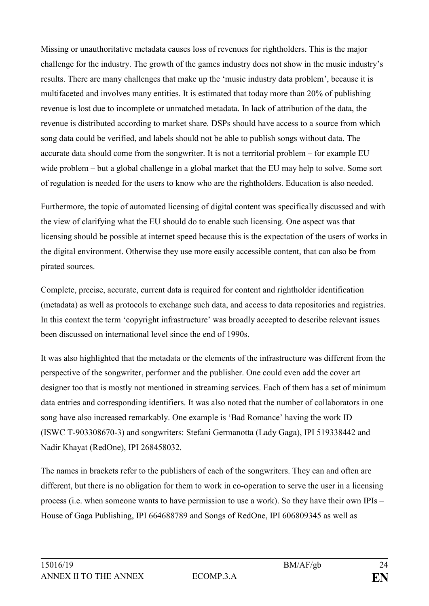Missing or unauthoritative metadata causes loss of revenues for rightholders. This is the major challenge for the industry. The growth of the games industry does not show in the music industry's results. There are many challenges that make up the 'music industry data problem', because it is multifaceted and involves many entities. It is estimated that today more than 20% of publishing revenue is lost due to incomplete or unmatched metadata. In lack of attribution of the data, the revenue is distributed according to market share. DSPs should have access to a source from which song data could be verified, and labels should not be able to publish songs without data. The accurate data should come from the songwriter. It is not a territorial problem – for example EU wide problem – but a global challenge in a global market that the EU may help to solve. Some sort of regulation is needed for the users to know who are the rightholders. Education is also needed.

Furthermore, the topic of automated licensing of digital content was specifically discussed and with the view of clarifying what the EU should do to enable such licensing. One aspect was that licensing should be possible at internet speed because this is the expectation of the users of works in the digital environment. Otherwise they use more easily accessible content, that can also be from pirated sources.

Complete, precise, accurate, current data is required for content and rightholder identification (metadata) as well as protocols to exchange such data, and access to data repositories and registries. In this context the term ʻcopyright infrastructure' was broadly accepted to describe relevant issues been discussed on international level since the end of 1990s.

It was also highlighted that the metadata or the elements of the infrastructure was different from the perspective of the songwriter, performer and the publisher. One could even add the cover art designer too that is mostly not mentioned in streaming services. Each of them has a set of minimum data entries and corresponding identifiers. It was also noted that the number of collaborators in one song have also increased remarkably. One example is ʻBad Romance' having the work ID (ISWC T-903308670-3) and songwriters: Stefani Germanotta (Lady Gaga), IPI 519338442 and Nadir Khayat (RedOne), IPI 268458032.

The names in brackets refer to the publishers of each of the songwriters. They can and often are different, but there is no obligation for them to work in co-operation to serve the user in a licensing process (i.e. when someone wants to have permission to use a work). So they have their own IPIs – House of Gaga Publishing, IPI 664688789 and Songs of RedOne, IPI 606809345 as well as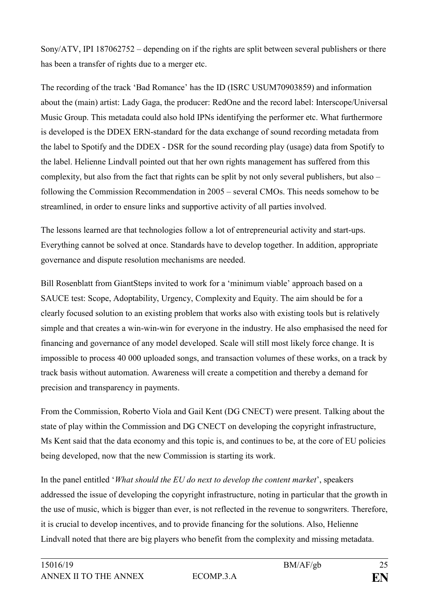Sony/ATV, IPI 187062752 – depending on if the rights are split between several publishers or there has been a transfer of rights due to a merger etc.

The recording of the track ʻBad Romance' has the ID (ISRC USUM70903859) and information about the (main) artist: Lady Gaga, the producer: RedOne and the record label: Interscope/Universal Music Group. This metadata could also hold IPNs identifying the performer etc. What furthermore is developed is the DDEX ERN-standard for the data exchange of sound recording metadata from the label to Spotify and the DDEX - DSR for the sound recording play (usage) data from Spotify to the label. Helienne Lindvall pointed out that her own rights management has suffered from this complexity, but also from the fact that rights can be split by not only several publishers, but also – following the Commission Recommendation in 2005 – several CMOs. This needs somehow to be streamlined, in order to ensure links and supportive activity of all parties involved.

The lessons learned are that technologies follow a lot of entrepreneurial activity and start-ups. Everything cannot be solved at once. Standards have to develop together. In addition, appropriate governance and dispute resolution mechanisms are needed.

Bill Rosenblatt from GiantSteps invited to work for a ʻminimum viable' approach based on a SAUCE test: Scope, Adoptability, Urgency, Complexity and Equity. The aim should be for a clearly focused solution to an existing problem that works also with existing tools but is relatively simple and that creates a win-win-win for everyone in the industry. He also emphasised the need for financing and governance of any model developed. Scale will still most likely force change. It is impossible to process 40 000 uploaded songs, and transaction volumes of these works, on a track by track basis without automation. Awareness will create a competition and thereby a demand for precision and transparency in payments.

From the Commission, Roberto Viola and Gail Kent (DG CNECT) were present. Talking about the state of play within the Commission and DG CNECT on developing the copyright infrastructure, Ms Kent said that the data economy and this topic is, and continues to be, at the core of EU policies being developed, now that the new Commission is starting its work.

In the panel entitled ʻ*What should the EU do next to develop the content market*', speakers addressed the issue of developing the copyright infrastructure, noting in particular that the growth in the use of music, which is bigger than ever, is not reflected in the revenue to songwriters. Therefore, it is crucial to develop incentives, and to provide financing for the solutions. Also, Helienne Lindvall noted that there are big players who benefit from the complexity and missing metadata.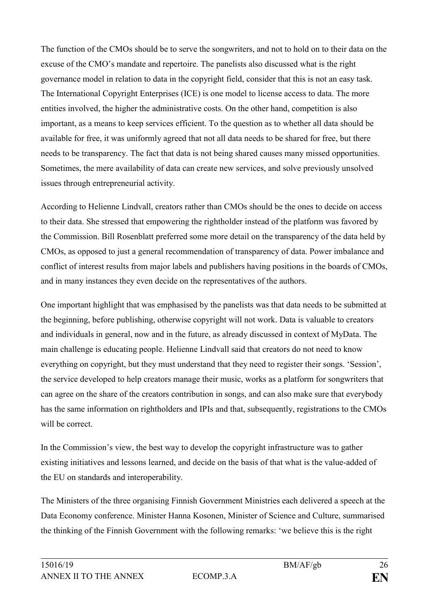The function of the CMOs should be to serve the songwriters, and not to hold on to their data on the excuse of the CMO's mandate and repertoire. The panelists also discussed what is the right governance model in relation to data in the copyright field, consider that this is not an easy task. The International Copyright Enterprises (ICE) is one model to license access to data. The more entities involved, the higher the administrative costs. On the other hand, competition is also important, as a means to keep services efficient. To the question as to whether all data should be available for free, it was uniformly agreed that not all data needs to be shared for free, but there needs to be transparency. The fact that data is not being shared causes many missed opportunities. Sometimes, the mere availability of data can create new services, and solve previously unsolved issues through entrepreneurial activity.

According to Helienne Lindvall, creators rather than CMOs should be the ones to decide on access to their data. She stressed that empowering the rightholder instead of the platform was favored by the Commission. Bill Rosenblatt preferred some more detail on the transparency of the data held by CMOs, as opposed to just a general recommendation of transparency of data. Power imbalance and conflict of interest results from major labels and publishers having positions in the boards of CMOs, and in many instances they even decide on the representatives of the authors.

One important highlight that was emphasised by the panelists was that data needs to be submitted at the beginning, before publishing, otherwise copyright will not work. Data is valuable to creators and individuals in general, now and in the future, as already discussed in context of MyData. The main challenge is educating people. Helienne Lindvall said that creators do not need to know everything on copyright, but they must understand that they need to register their songs. ʻSession', the service developed to help creators manage their music, works as a platform for songwriters that can agree on the share of the creators contribution in songs, and can also make sure that everybody has the same information on rightholders and IPIs and that, subsequently, registrations to the CMOs will be correct.

In the Commission's view, the best way to develop the copyright infrastructure was to gather existing initiatives and lessons learned, and decide on the basis of that what is the value-added of the EU on standards and interoperability.

The Ministers of the three organising Finnish Government Ministries each delivered a speech at the Data Economy conference. Minister Hanna Kosonen, Minister of Science and Culture, summarised the thinking of the Finnish Government with the following remarks: ʻwe believe this is the right